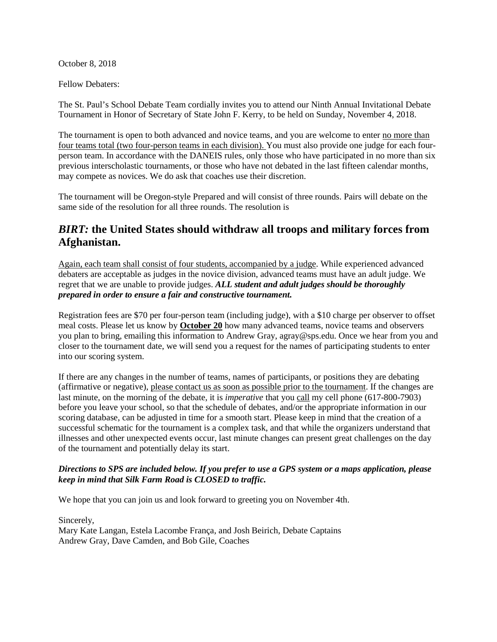October 8, 2018

Fellow Debaters:

The St. Paul's School Debate Team cordially invites you to attend our Ninth Annual Invitational Debate Tournament in Honor of Secretary of State John F. Kerry, to be held on Sunday, November 4, 2018.

The tournament is open to both advanced and novice teams, and you are welcome to enter no more than four teams total (two four-person teams in each division). You must also provide one judge for each fourperson team. In accordance with the DANEIS rules, only those who have participated in no more than six previous interscholastic tournaments, or those who have not debated in the last fifteen calendar months, may compete as novices. We do ask that coaches use their discretion.

The tournament will be Oregon-style Prepared and will consist of three rounds. Pairs will debate on the same side of the resolution for all three rounds. The resolution is

# *BIRT:* **the United States should withdraw all troops and military forces from Afghanistan.**

Again, each team shall consist of four students, accompanied by a judge. While experienced advanced debaters are acceptable as judges in the novice division, advanced teams must have an adult judge. We regret that we are unable to provide judges. *ALL student and adult judges should be thoroughly prepared in order to ensure a fair and constructive tournament.*

Registration fees are \$70 per four-person team (including judge), with a \$10 charge per observer to offset meal costs. Please let us know by **October 20** how many advanced teams, novice teams and observers you plan to bring, emailing this information to Andrew Gray, agray@sps.edu. Once we hear from you and closer to the tournament date, we will send you a request for the names of participating students to enter into our scoring system.

If there are any changes in the number of teams, names of participants, or positions they are debating (affirmative or negative), please contact us as soon as possible prior to the tournament. If the changes are last minute, on the morning of the debate, it is *imperative* that you call my cell phone (617-800-7903) before you leave your school, so that the schedule of debates, and/or the appropriate information in our scoring database, can be adjusted in time for a smooth start. Please keep in mind that the creation of a successful schematic for the tournament is a complex task, and that while the organizers understand that illnesses and other unexpected events occur, last minute changes can present great challenges on the day of the tournament and potentially delay its start.

#### *Directions to SPS are included below. If you prefer to use a GPS system or a maps application, please keep in mind that Silk Farm Road is CLOSED to traffic.*

We hope that you can join us and look forward to greeting you on November 4th.

Sincerely,

Mary Kate Langan, Estela Lacombe França, and Josh Beirich, Debate Captains Andrew Gray, Dave Camden, and Bob Gile, Coaches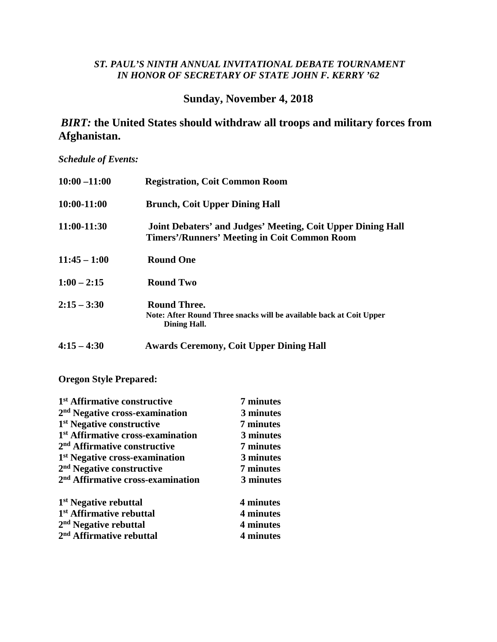#### *ST. PAUL'S NINTH ANNUAL INVITATIONAL DEBATE TOURNAMENT IN HONOR OF SECRETARY OF STATE JOHN F. KERRY '62*

## **Sunday, November 4, 2018**

## *BIRT:* **the United States should withdraw all troops and military forces from Afghanistan.**

*Schedule of Events:*

| $10:00 - 11:00$ | <b>Registration, Coit Common Room</b>                                                                              |
|-----------------|--------------------------------------------------------------------------------------------------------------------|
| 10:00-11:00     | <b>Brunch, Coit Upper Dining Hall</b>                                                                              |
| 11:00-11:30     | Joint Debaters' and Judges' Meeting, Coit Upper Dining Hall<br><b>Timers'/Runners' Meeting in Coit Common Room</b> |
| $11:45 - 1:00$  | <b>Round One</b>                                                                                                   |
| $1:00 - 2:15$   | <b>Round Two</b>                                                                                                   |
| $2:15 - 3:30$   | <b>Round Three.</b><br>Note: After Round Three snacks will be available back at Coit Upper<br>Dining Hall.         |
| $4:15 - 4:30$   | <b>Awards Ceremony, Coit Upper Dining Hall</b>                                                                     |

**Oregon Style Prepared:**

| 1 <sup>st</sup> Affirmative constructive      | 7 minutes |
|-----------------------------------------------|-----------|
| 2 <sup>nd</sup> Negative cross-examination    | 3 minutes |
| 1 <sup>st</sup> Negative constructive         | 7 minutes |
| 1 <sup>st</sup> Affirmative cross-examination | 3 minutes |
| 2 <sup>nd</sup> Affirmative constructive      | 7 minutes |
| 1 <sup>st</sup> Negative cross-examination    | 3 minutes |
| 2 <sup>nd</sup> Negative constructive         | 7 minutes |
| 2 <sup>nd</sup> Affirmative cross-examination | 3 minutes |
| 1 <sup>st</sup> Negative rebuttal             | 4 minutes |
| 1 <sup>st</sup> Affirmative rebuttal          | 4 minutes |
| $2nd$ Negative rebuttal                       | 4 minutes |
| 2 <sup>nd</sup> Affirmative rebuttal          | 4 minutes |